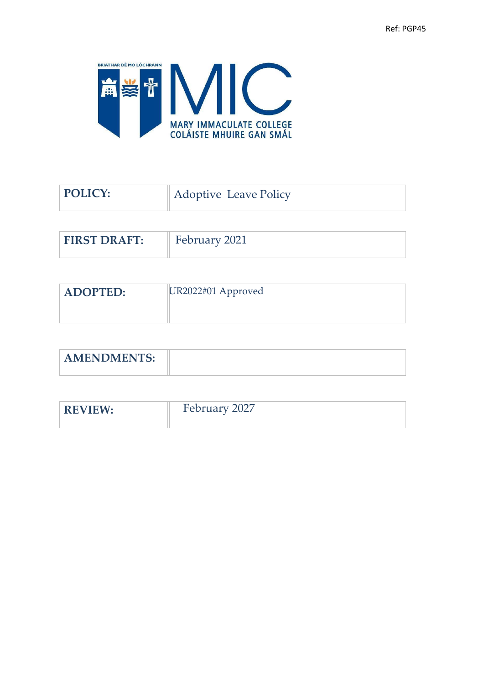

| POLICY:             | <b>Adoptive Leave Policy</b> |
|---------------------|------------------------------|
|                     |                              |
| <b>FIRST DRAFT:</b> | February 2021                |

| <b>ADOPTED:</b> | $ UR2022#01$ Approved |
|-----------------|-----------------------|
|                 |                       |

| <b>AMENDMENTS:</b> |  |
|--------------------|--|
|                    |  |

| <b>REVIEW</b> | February 2027<br>$\angle$ $\angle$ $\angle$ $\angle$ $\angle$<br>$\sim$ $\sim$ $\sim$ $\sim$ $\sim$ $\sim$ |
|---------------|------------------------------------------------------------------------------------------------------------|
|               |                                                                                                            |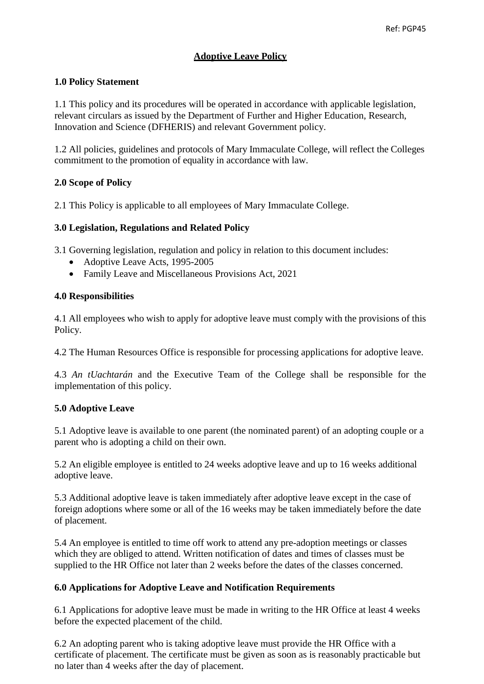# **Adoptive Leave Policy**

## **1.0 Policy Statement**

1.1 This policy and its procedures will be operated in accordance with applicable legislation, relevant circulars as issued by the Department of Further and Higher Education, Research, Innovation and Science (DFHERIS) and relevant Government policy.

1.2 All policies, guidelines and protocols of Mary Immaculate College, will reflect the Colleges commitment to the promotion of equality in accordance with law.

## **2.0 Scope of Policy**

2.1 This Policy is applicable to all employees of Mary Immaculate College.

## **3.0 Legislation, Regulations and Related Policy**

3.1 Governing legislation, regulation and policy in relation to this document includes:

- Adoptive Leave Acts, 1995-2005
- Family Leave and Miscellaneous Provisions Act, 2021

## **4.0 Responsibilities**

4.1 All employees who wish to apply for adoptive leave must comply with the provisions of this Policy.

4.2 The Human Resources Office is responsible for processing applications for adoptive leave.

4.3 *An tUachtarán* and the Executive Team of the College shall be responsible for the implementation of this policy.

#### **5.0 Adoptive Leave**

5.1 Adoptive leave is available to one parent (the nominated parent) of an adopting couple or a parent who is adopting a child on their own.

5.2 An eligible employee is entitled to 24 weeks adoptive leave and up to 16 weeks additional adoptive leave.

5.3 Additional adoptive leave is taken immediately after adoptive leave except in the case of foreign adoptions where some or all of the 16 weeks may be taken immediately before the date of placement.

5.4 An employee is entitled to time off work to attend any pre-adoption meetings or classes which they are obliged to attend. Written notification of dates and times of classes must be supplied to the HR Office not later than 2 weeks before the dates of the classes concerned.

#### **6.0 Applications for Adoptive Leave and Notification Requirements**

6.1 Applications for adoptive leave must be made in writing to the HR Office at least 4 weeks before the expected placement of the child.

6.2 An adopting parent who is taking adoptive leave must provide the HR Office with a certificate of placement. The certificate must be given as soon as is reasonably practicable but no later than 4 weeks after the day of placement.